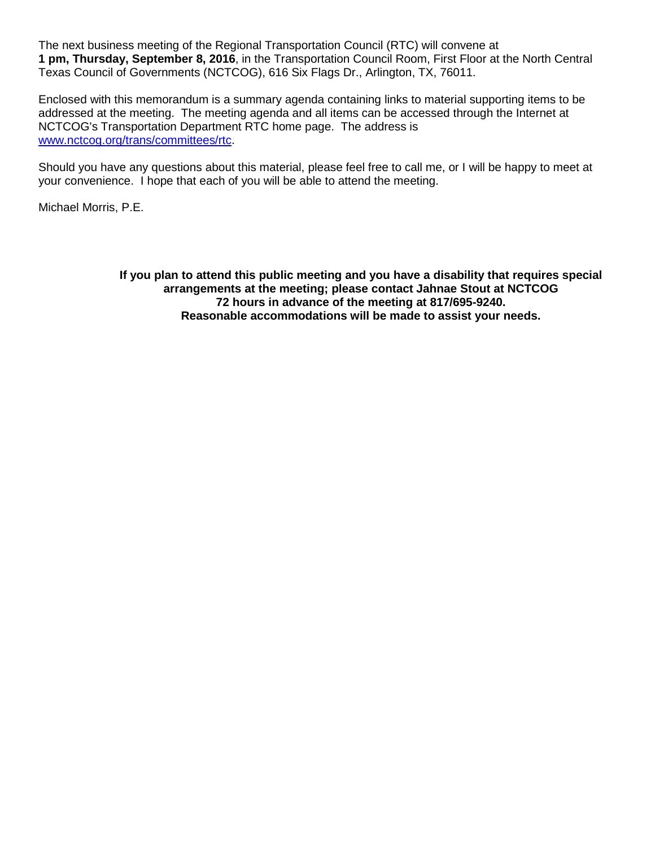The next business meeting of the Regional Transportation Council (RTC) will convene at **1 pm, Thursday, September 8, 2016**, in the Transportation Council Room, First Floor at the North Central Texas Council of Governments (NCTCOG), 616 Six Flags Dr., Arlington, TX, 76011.

Enclosed with this memorandum is a summary agenda containing links to material supporting items to be addressed at the meeting. The meeting agenda and all items can be accessed through the Internet at NCTCOG's Transportation Department RTC home page. The address is [www.nctcog.org/trans/committees/rtc.](http://www.nctcog.org/trans/committees/rtc)

Should you have any questions about this material, please feel free to call me, or I will be happy to meet at your convenience. I hope that each of you will be able to attend the meeting.

Michael Morris, P.E.

**If you plan to attend this public meeting and you have a disability that requires special arrangements at the meeting; please contact Jahnae Stout at NCTCOG 72 hours in advance of the meeting at 817/695-9240. Reasonable accommodations will be made to assist your needs.**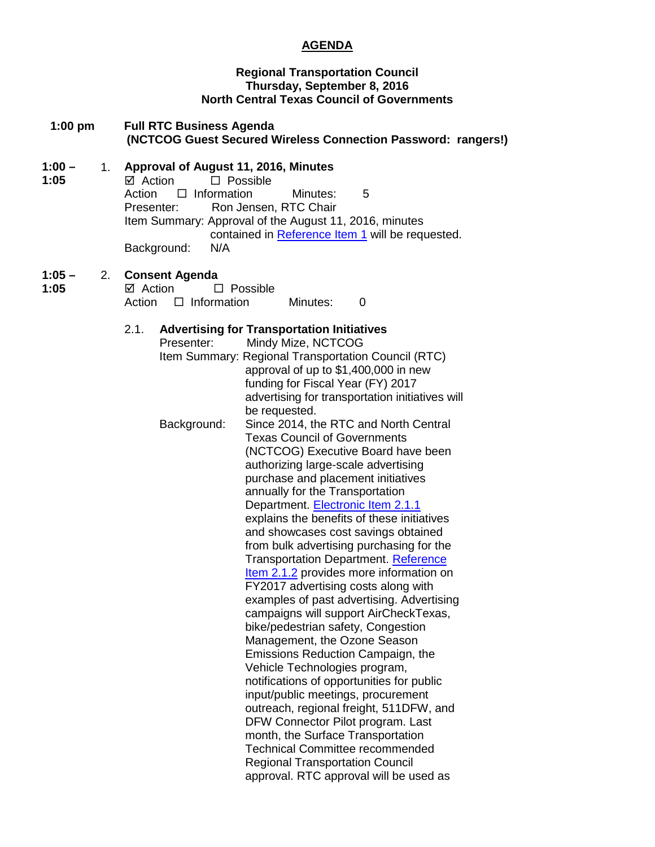# **AGENDA**

## **Regional Transportation Council Thursday, September 8, 2016 North Central Texas Council of Governments**

| $1:00$ pm | <b>Full RTC Business Agenda</b>                               |  |
|-----------|---------------------------------------------------------------|--|
|           | (NCTCOG Guest Secured Wireless Connection Password: rangers!) |  |

## **1:00 –** 1. **Approval of August 11, 2016, Minutes**

**1:05**  $\overline{\boxtimes}$  Action  $\overline{\Box}$  Possible<br>Action  $\Box$  Information Action  $\Box$  Information Minutes: 5<br>Presenter: Ron Jensen. RTC Chair Ron Jensen, RTC Chair Item Summary: Approval of the August 11, 2016, minutes contained in [Reference Item 1](http://www.nctcog.org/trans/committees/rtc/2016/09Sept/Ref.Itm_1.rtc090816.pdf) will be requested.<br>N/A Background:

#### **1:05 –** 2. **Consent Agenda**

| 1:05 | <b>☑</b> Action           |  | $\Box$ Possible |          |  |
|------|---------------------------|--|-----------------|----------|--|
|      | Action $\Box$ Information |  |                 | Minutes: |  |

## 2.1. **Advertising for Transportation Initiatives**

| .1. |             | <b>Advertising for Transportation Initiatives</b>   |
|-----|-------------|-----------------------------------------------------|
|     | Presenter:  | Mindy Mize, NCTCOG                                  |
|     |             | Item Summary: Regional Transportation Council (RTC) |
|     |             | approval of up to \$1,400,000 in new                |
|     |             | funding for Fiscal Year (FY) 2017                   |
|     |             | advertising for transportation initiatives will     |
|     |             | be requested.                                       |
|     | Background: | Since 2014, the RTC and North Central               |
|     |             | <b>Texas Council of Governments</b>                 |
|     |             | (NCTCOG) Executive Board have been                  |
|     |             | authorizing large-scale advertising                 |
|     |             | purchase and placement initiatives                  |
|     |             | annually for the Transportation                     |
|     |             | Department. Electronic Item 2.1.1                   |
|     |             | explains the benefits of these initiatives          |
|     |             | and showcases cost savings obtained                 |
|     |             | from bulk advertising purchasing for the            |
|     |             | Transportation Department. Reference                |
|     |             | Item 2.1.2 provides more information on             |
|     |             | FY2017 advertising costs along with                 |
|     |             | examples of past advertising. Advertising           |
|     |             | campaigns will support AirCheckTexas,               |
|     |             | bike/pedestrian safety, Congestion                  |
|     |             | Management, the Ozone Season                        |
|     |             | Emissions Reduction Campaign, the                   |
|     |             | Vehicle Technologies program,                       |
|     |             | notifications of opportunities for public           |
|     |             | input/public meetings, procurement                  |
|     |             | outreach, regional freight, 511DFW, and             |
|     |             | DFW Connector Pilot program. Last                   |
|     |             | month, the Surface Transportation                   |
|     |             | <b>Technical Committee recommended</b>              |
|     |             | <b>Regional Transportation Council</b>              |
|     |             | approval. RTC approval will be used as              |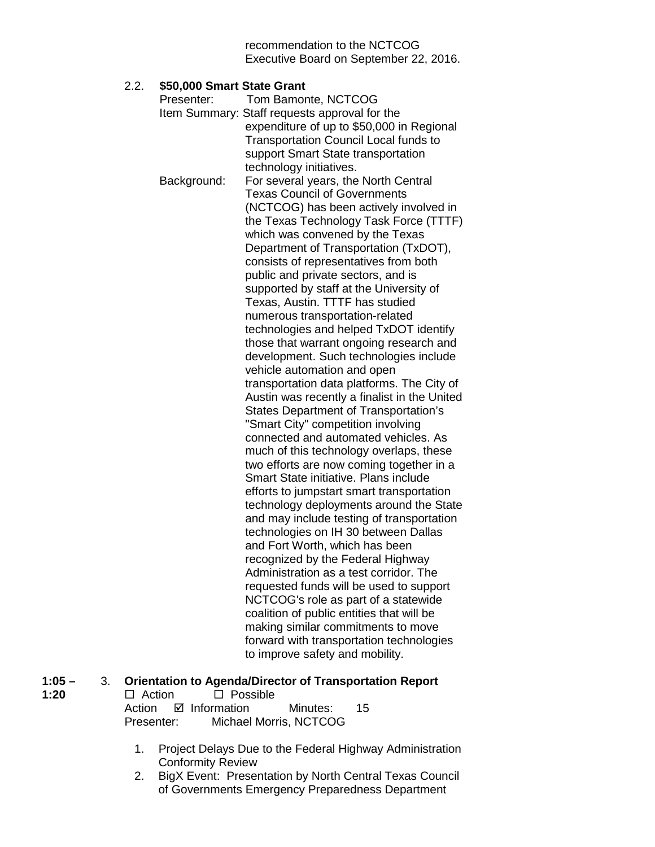recommendation to the NCTCOG Executive Board on September 22, 2016.

## 2.2. **\$50,000 Smart State Grant**

| Presenter:  | Tom Bamonte, NCTCOG                           |
|-------------|-----------------------------------------------|
|             | Item Summary: Staff requests approval for the |
|             | expenditure of up to \$50,000 in Regional     |
|             | <b>Transportation Council Local funds to</b>  |
|             | support Smart State transportation            |
|             | technology initiatives.                       |
| Background: | For several years, the North Central          |
|             | <b>Texas Council of Governments</b>           |
|             | (NCTCOG) has been actively involved in        |
|             | the Texas Technology Task Force (TTTF)        |
|             | which was convened by the Texas               |
|             | Department of Transportation (TxDOT),         |
|             | consists of representatives from both         |
|             | public and private sectors, and is            |
|             | supported by staff at the University of       |
|             | Texas, Austin. TTTF has studied               |
|             | numerous transportation-related               |
|             | technologies and helped TxDOT identify        |
|             | those that warrant ongoing research and       |
|             | development. Such technologies include        |
|             | vehicle automation and open                   |
|             | transportation data platforms. The City of    |
|             | Austin was recently a finalist in the United  |
|             | <b>States Department of Transportation's</b>  |
|             | "Smart City" competition involving            |
|             | connected and automated vehicles. As          |
|             | much of this technology overlaps, these       |
|             | two efforts are now coming together in a      |
|             | Smart State initiative. Plans include         |
|             | efforts to jumpstart smart transportation     |
|             | technology deployments around the State       |
|             | and may include testing of transportation     |
|             | technologies on IH 30 between Dallas          |
|             | and Fort Worth, which has been                |
|             | recognized by the Federal Highway             |
|             | Administration as a test corridor. The        |
|             | requested funds will be used to support       |
|             | NCTCOG's role as part of a statewide          |
|             | coalition of public entities that will be     |
|             | making similar commitments to move            |
|             | forward with transportation technologies      |
|             | to improve safety and mobility.               |
|             |                                               |

| $1:05 -$ |               | <b>Orientation to Agenda/Director of Transportation Report</b> |
|----------|---------------|----------------------------------------------------------------|
| 1:20     | $\Box$ Action | $\Box$ Possible                                                |

- $\Box$  Action  $\Box$  Possible Action **Ø** Information Minutes: 15 Presenter: Michael Morris, NCTCOG
	- 1. Project Delays Due to the Federal Highway Administration Conformity Review
	- 2. BigX Event: Presentation by North Central Texas Council of Governments Emergency Preparedness Department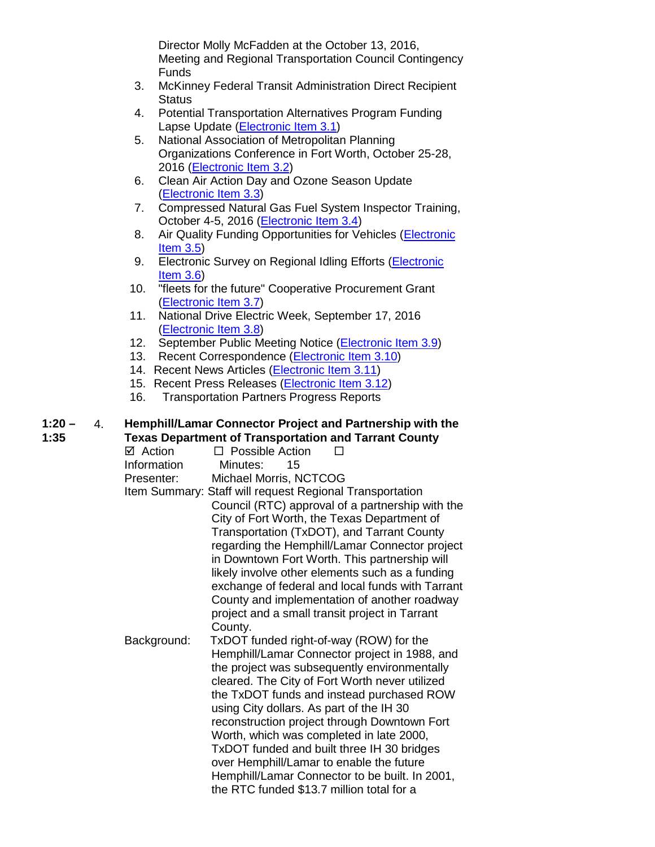Director Molly McFadden at the October 13, 2016, Meeting and Regional Transportation Council Contingency Funds

- 3. McKinney Federal Transit Administration Direct Recipient **Status**
- 4. Potential Transportation Alternatives Program Funding Lapse Update [\(Electronic Item 3.1\)](http://www.nctcog.org/trans/committees/rtc/2016/09Sept/Ref.Itm_3.1.rtc090816.pdf)
- 5. National Association of Metropolitan Planning Organizations Conference in Fort Worth, October 25-28, 2016 [\(Electronic Item 3.2\)](http://www.ampo.org/news-events/2016-ampo-annual-conference/)
- 6. Clean Air Action Day and Ozone Season Update [\(Electronic Item 3.3\)](http://www.nctcog.org/trans/committees/rtc/2016/09Sept/Ref.Itm_3.3.rtc090816.pdf)
- 7. Compressed Natural Gas Fuel System Inspector Training, October 4-5, 2016 [\(Electronic Item 3.4\)](http://www.nctcog.org/trans/committees/rtc/2016/09Sept/Ref.Itm_3.4.rtc090816.pdf)
- 8. Air Quality Funding Opportunities for Vehicles (Electronic [Item 3.5\)](http://www.nctcog.org/trans/air/vehicles/investments/funding/VehicleFundingOpportunities.asp)
- 9. Electronic Survey on Regional Idling Efforts (Electronic [Item 3.6\)](https://www.surveymonkey.com/r/NCTCOGidlereduction)
- 10. "fleets for the future" Cooperative Procurement Grant [\(Electronic Item 3.7\)](http://www.nctcog.org/trans/committees/rtc/2016/09Sept/Ref.Itm_3.7.rtc090816.pdf)
- 11. National Drive Electric Week, September 17, 2016 [\(Electronic Item 3.8\)](https://driveelectricweek.org/event.php?eventid=611)
- 12. September Public Meeting Notice [\(Electronic Item 3.9\)](http://www.nctcog.org/trans/committees/rtc/2016/09Sept/Ref.Itm_3.9.rtc090816.pdf)
- 13. Recent Correspondence [\(Electronic Item](http://www.nctcog.org/trans/committees/rtc/2016/09Sept/Ref.Itm_3.10.rtc090816.pdf) 3.10)
- 14. Recent News Articles [\(Electronic Item 3.11\)](http://www.nctcog.org/trans/committees/rtc/2016/09Sept/Ref.Itm_3.11.rtc090816.pdf)
- 15. Recent Press Releases [\(Electronic Item 3.12\)](http://www.nctcog.org/trans/committees/rtc/2016/09Sept/Ref.Itm_3.12.rtc090816.pdf)
- 16. Transportation Partners Progress Reports

#### **1:20 – 1:35** 4. **Hemphill/Lamar Connector Project and Partnership with the Texas Department of Transportation and Tarrant County**

 $\Box$  Action  $\Box$  Possible Action  $\Box$ <br>Information Minutes: 15 Information Minutes: 15 Presenter: Michael Morris, NCTCOG Item Summary: Staff will request Regional Transportation Council (RTC) approval of a partnership with the City of Fort Worth, the Texas Department of Transportation (TxDOT), and Tarrant County regarding the Hemphill/Lamar Connector project in Downtown Fort Worth. This partnership will likely involve other elements such as a funding exchange of federal and local funds with Tarrant County and implementation of another roadway project and a small transit project in Tarrant County. Background: TxDOT funded right-of-way (ROW) for the Hemphill/Lamar Connector project in 1988, and the project was subsequently environmentally cleared. The City of Fort Worth never utilized the TxDOT funds and instead purchased ROW using City dollars. As part of the IH 30 reconstruction project through Downtown Fort Worth, which was completed in late 2000, TxDOT funded and built three IH 30 bridges over Hemphill/Lamar to enable the future Hemphill/Lamar Connector to be built. In 2001, the RTC funded \$13.7 million total for a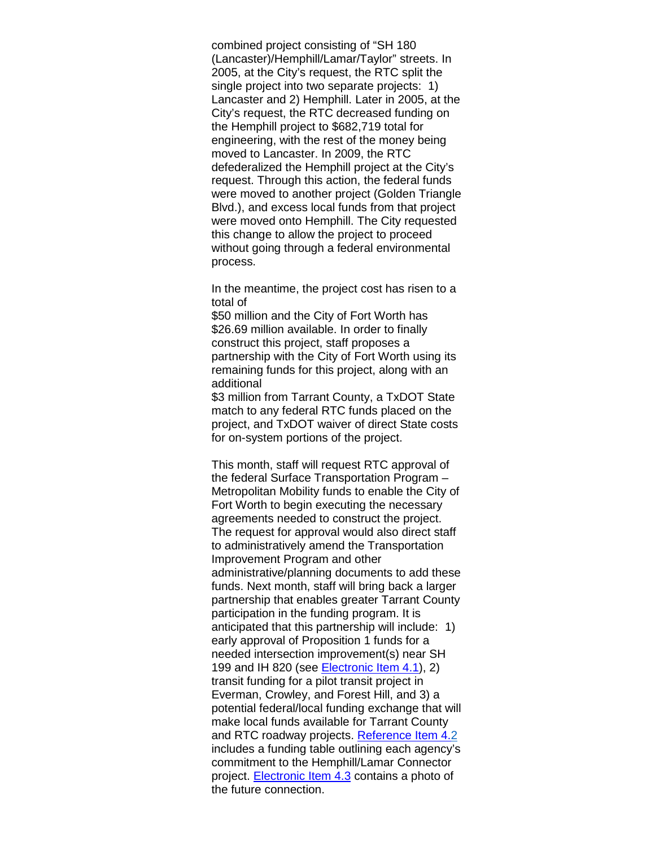combined project consisting of "SH 180 (Lancaster)/Hemphill/Lamar/Taylor" streets. In 2005, at the City's request, the RTC split the single project into two separate projects: 1) Lancaster and 2) Hemphill. Later in 2005, at the City's request, the RTC decreased funding on the Hemphill project to \$682,719 total for engineering, with the rest of the money being moved to Lancaster. In 2009, the RTC defederalized the Hemphill project at the City's request. Through this action, the federal funds were moved to another project (Golden Triangle Blvd.), and excess local funds from that project were moved onto Hemphill. The City requested this change to allow the project to proceed without going through a federal environmental process.

In the meantime, the project cost has risen to a total of

\$50 million and the City of Fort Worth has \$26.69 million available. In order to finally construct this project, staff proposes a partnership with the City of Fort Worth using its remaining funds for this project, along with an additional

\$3 million from Tarrant County, a TxDOT State match to any federal RTC funds placed on the project, and TxDOT waiver of direct State costs for on-system portions of the project.

This month, staff will request RTC approval of the federal Surface Transportation Program – Metropolitan Mobility funds to enable the City of Fort Worth to begin executing the necessary agreements needed to construct the project. The request for approval would also direct staff to administratively amend the Transportation Improvement Program and other administrative/planning documents to add these funds. Next month, staff will bring back a larger partnership that enables greater Tarrant County participation in the funding program. It is anticipated that this partnership will include: 1) early approval of Proposition 1 funds for a needed intersection improvement(s) near SH 199 and IH 820 (see [Electronic Item 4.1\)](http://www.nctcog.org/trans/committees/rtc/2016/09Sept/Ref.Itm_4.1.rtc090816.pdf), 2) transit funding for a pilot transit project in Everman, Crowley, and Forest Hill, and 3) a potential federal/local funding exchange that will make local funds available for Tarrant County and RTC roadway projects. [Reference Item 4.2](http://www.nctcog.org/trans/committees/rtc/2016/09Sept/Ref.Itm_4.2.rtc090816.pdf) includes a funding table outlining each agency's commitment to the Hemphill/Lamar Connector project. **Electronic Item 4.3** contains a photo of the future connection.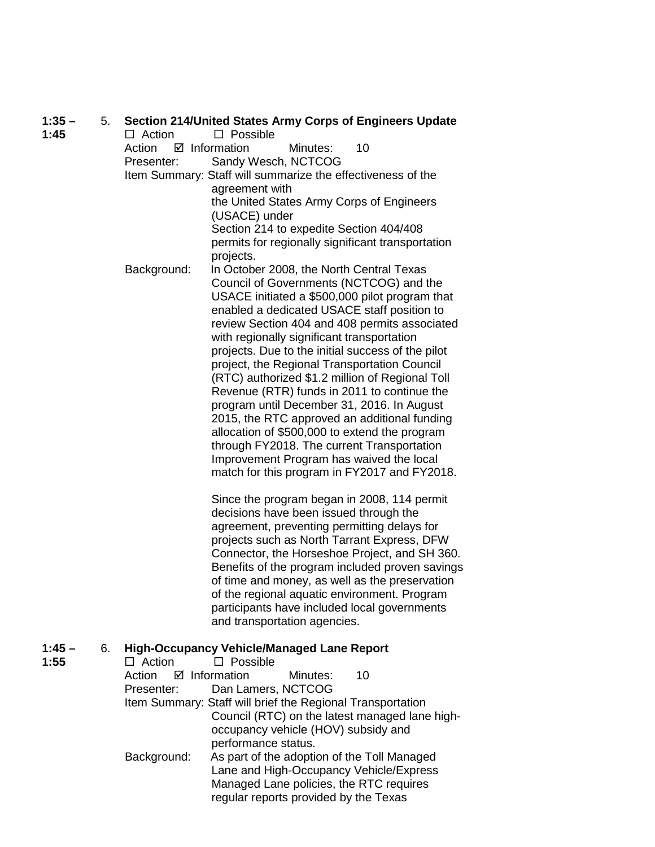| Action<br>$\boxtimes$ Information<br>10<br>Minutes:<br>Sandy Wesch, NCTCOG<br>Presenter:<br>Item Summary: Staff will summarize the effectiveness of the<br>agreement with<br>the United States Army Corps of Engineers<br>(USACE) under<br>Section 214 to expedite Section 404/408<br>permits for regionally significant transportation<br>projects.<br>Background:<br>In October 2008, the North Central Texas<br>Council of Governments (NCTCOG) and the<br>USACE initiated a \$500,000 pilot program that<br>enabled a dedicated USACE staff position to<br>review Section 404 and 408 permits associated<br>with regionally significant transportation<br>projects. Due to the initial success of the pilot<br>project, the Regional Transportation Council<br>(RTC) authorized \$1.2 million of Regional Toll<br>Revenue (RTR) funds in 2011 to continue the<br>program until December 31, 2016. In August<br>2015, the RTC approved an additional funding<br>allocation of \$500,000 to extend the program<br>through FY2018. The current Transportation<br>Improvement Program has waived the local<br>match for this program in FY2017 and FY2018.<br>Since the program began in 2008, 114 permit<br>decisions have been issued through the<br>agreement, preventing permitting delays for<br>projects such as North Tarrant Express, DFW<br>Connector, the Horseshoe Project, and SH 360.<br>Benefits of the program included proven savings<br>of time and money, as well as the preservation<br>of the regional aquatic environment. Program<br>participants have included local governments<br>and transportation agencies.<br>$1:45 -$<br><b>High-Occupancy Vehicle/Managed Lane Report</b><br>6.<br>1:55<br>$\Box$ Action<br>$\Box$ Possible<br>10<br>Action<br>$\boxtimes$ Information<br>Minutes: | $1:35 -$ | 5. |               | Section 214/United States Army Corps of Engineers Update |
|-------------------------------------------------------------------------------------------------------------------------------------------------------------------------------------------------------------------------------------------------------------------------------------------------------------------------------------------------------------------------------------------------------------------------------------------------------------------------------------------------------------------------------------------------------------------------------------------------------------------------------------------------------------------------------------------------------------------------------------------------------------------------------------------------------------------------------------------------------------------------------------------------------------------------------------------------------------------------------------------------------------------------------------------------------------------------------------------------------------------------------------------------------------------------------------------------------------------------------------------------------------------------------------------------------------------------------------------------------------------------------------------------------------------------------------------------------------------------------------------------------------------------------------------------------------------------------------------------------------------------------------------------------------------------------------------------------------------------------------------------------------------------------------------------------------------|----------|----|---------------|----------------------------------------------------------|
|                                                                                                                                                                                                                                                                                                                                                                                                                                                                                                                                                                                                                                                                                                                                                                                                                                                                                                                                                                                                                                                                                                                                                                                                                                                                                                                                                                                                                                                                                                                                                                                                                                                                                                                                                                                                                   | 1:45     |    | $\Box$ Action | $\square$ Possible                                       |
|                                                                                                                                                                                                                                                                                                                                                                                                                                                                                                                                                                                                                                                                                                                                                                                                                                                                                                                                                                                                                                                                                                                                                                                                                                                                                                                                                                                                                                                                                                                                                                                                                                                                                                                                                                                                                   |          |    |               |                                                          |
|                                                                                                                                                                                                                                                                                                                                                                                                                                                                                                                                                                                                                                                                                                                                                                                                                                                                                                                                                                                                                                                                                                                                                                                                                                                                                                                                                                                                                                                                                                                                                                                                                                                                                                                                                                                                                   |          |    |               |                                                          |
|                                                                                                                                                                                                                                                                                                                                                                                                                                                                                                                                                                                                                                                                                                                                                                                                                                                                                                                                                                                                                                                                                                                                                                                                                                                                                                                                                                                                                                                                                                                                                                                                                                                                                                                                                                                                                   |          |    |               |                                                          |
|                                                                                                                                                                                                                                                                                                                                                                                                                                                                                                                                                                                                                                                                                                                                                                                                                                                                                                                                                                                                                                                                                                                                                                                                                                                                                                                                                                                                                                                                                                                                                                                                                                                                                                                                                                                                                   |          |    |               |                                                          |
|                                                                                                                                                                                                                                                                                                                                                                                                                                                                                                                                                                                                                                                                                                                                                                                                                                                                                                                                                                                                                                                                                                                                                                                                                                                                                                                                                                                                                                                                                                                                                                                                                                                                                                                                                                                                                   |          |    |               |                                                          |
|                                                                                                                                                                                                                                                                                                                                                                                                                                                                                                                                                                                                                                                                                                                                                                                                                                                                                                                                                                                                                                                                                                                                                                                                                                                                                                                                                                                                                                                                                                                                                                                                                                                                                                                                                                                                                   |          |    |               |                                                          |
|                                                                                                                                                                                                                                                                                                                                                                                                                                                                                                                                                                                                                                                                                                                                                                                                                                                                                                                                                                                                                                                                                                                                                                                                                                                                                                                                                                                                                                                                                                                                                                                                                                                                                                                                                                                                                   |          |    |               |                                                          |
|                                                                                                                                                                                                                                                                                                                                                                                                                                                                                                                                                                                                                                                                                                                                                                                                                                                                                                                                                                                                                                                                                                                                                                                                                                                                                                                                                                                                                                                                                                                                                                                                                                                                                                                                                                                                                   |          |    |               |                                                          |
|                                                                                                                                                                                                                                                                                                                                                                                                                                                                                                                                                                                                                                                                                                                                                                                                                                                                                                                                                                                                                                                                                                                                                                                                                                                                                                                                                                                                                                                                                                                                                                                                                                                                                                                                                                                                                   |          |    |               |                                                          |
|                                                                                                                                                                                                                                                                                                                                                                                                                                                                                                                                                                                                                                                                                                                                                                                                                                                                                                                                                                                                                                                                                                                                                                                                                                                                                                                                                                                                                                                                                                                                                                                                                                                                                                                                                                                                                   |          |    |               |                                                          |
|                                                                                                                                                                                                                                                                                                                                                                                                                                                                                                                                                                                                                                                                                                                                                                                                                                                                                                                                                                                                                                                                                                                                                                                                                                                                                                                                                                                                                                                                                                                                                                                                                                                                                                                                                                                                                   |          |    |               |                                                          |
|                                                                                                                                                                                                                                                                                                                                                                                                                                                                                                                                                                                                                                                                                                                                                                                                                                                                                                                                                                                                                                                                                                                                                                                                                                                                                                                                                                                                                                                                                                                                                                                                                                                                                                                                                                                                                   |          |    |               |                                                          |
|                                                                                                                                                                                                                                                                                                                                                                                                                                                                                                                                                                                                                                                                                                                                                                                                                                                                                                                                                                                                                                                                                                                                                                                                                                                                                                                                                                                                                                                                                                                                                                                                                                                                                                                                                                                                                   |          |    |               |                                                          |
|                                                                                                                                                                                                                                                                                                                                                                                                                                                                                                                                                                                                                                                                                                                                                                                                                                                                                                                                                                                                                                                                                                                                                                                                                                                                                                                                                                                                                                                                                                                                                                                                                                                                                                                                                                                                                   |          |    |               |                                                          |
|                                                                                                                                                                                                                                                                                                                                                                                                                                                                                                                                                                                                                                                                                                                                                                                                                                                                                                                                                                                                                                                                                                                                                                                                                                                                                                                                                                                                                                                                                                                                                                                                                                                                                                                                                                                                                   |          |    |               |                                                          |
|                                                                                                                                                                                                                                                                                                                                                                                                                                                                                                                                                                                                                                                                                                                                                                                                                                                                                                                                                                                                                                                                                                                                                                                                                                                                                                                                                                                                                                                                                                                                                                                                                                                                                                                                                                                                                   |          |    |               |                                                          |
|                                                                                                                                                                                                                                                                                                                                                                                                                                                                                                                                                                                                                                                                                                                                                                                                                                                                                                                                                                                                                                                                                                                                                                                                                                                                                                                                                                                                                                                                                                                                                                                                                                                                                                                                                                                                                   |          |    |               |                                                          |
|                                                                                                                                                                                                                                                                                                                                                                                                                                                                                                                                                                                                                                                                                                                                                                                                                                                                                                                                                                                                                                                                                                                                                                                                                                                                                                                                                                                                                                                                                                                                                                                                                                                                                                                                                                                                                   |          |    |               |                                                          |
|                                                                                                                                                                                                                                                                                                                                                                                                                                                                                                                                                                                                                                                                                                                                                                                                                                                                                                                                                                                                                                                                                                                                                                                                                                                                                                                                                                                                                                                                                                                                                                                                                                                                                                                                                                                                                   |          |    |               |                                                          |
|                                                                                                                                                                                                                                                                                                                                                                                                                                                                                                                                                                                                                                                                                                                                                                                                                                                                                                                                                                                                                                                                                                                                                                                                                                                                                                                                                                                                                                                                                                                                                                                                                                                                                                                                                                                                                   |          |    |               |                                                          |
|                                                                                                                                                                                                                                                                                                                                                                                                                                                                                                                                                                                                                                                                                                                                                                                                                                                                                                                                                                                                                                                                                                                                                                                                                                                                                                                                                                                                                                                                                                                                                                                                                                                                                                                                                                                                                   |          |    |               |                                                          |
|                                                                                                                                                                                                                                                                                                                                                                                                                                                                                                                                                                                                                                                                                                                                                                                                                                                                                                                                                                                                                                                                                                                                                                                                                                                                                                                                                                                                                                                                                                                                                                                                                                                                                                                                                                                                                   |          |    |               |                                                          |
|                                                                                                                                                                                                                                                                                                                                                                                                                                                                                                                                                                                                                                                                                                                                                                                                                                                                                                                                                                                                                                                                                                                                                                                                                                                                                                                                                                                                                                                                                                                                                                                                                                                                                                                                                                                                                   |          |    |               |                                                          |
|                                                                                                                                                                                                                                                                                                                                                                                                                                                                                                                                                                                                                                                                                                                                                                                                                                                                                                                                                                                                                                                                                                                                                                                                                                                                                                                                                                                                                                                                                                                                                                                                                                                                                                                                                                                                                   |          |    |               |                                                          |
|                                                                                                                                                                                                                                                                                                                                                                                                                                                                                                                                                                                                                                                                                                                                                                                                                                                                                                                                                                                                                                                                                                                                                                                                                                                                                                                                                                                                                                                                                                                                                                                                                                                                                                                                                                                                                   |          |    |               |                                                          |
|                                                                                                                                                                                                                                                                                                                                                                                                                                                                                                                                                                                                                                                                                                                                                                                                                                                                                                                                                                                                                                                                                                                                                                                                                                                                                                                                                                                                                                                                                                                                                                                                                                                                                                                                                                                                                   |          |    |               |                                                          |
|                                                                                                                                                                                                                                                                                                                                                                                                                                                                                                                                                                                                                                                                                                                                                                                                                                                                                                                                                                                                                                                                                                                                                                                                                                                                                                                                                                                                                                                                                                                                                                                                                                                                                                                                                                                                                   |          |    |               |                                                          |
|                                                                                                                                                                                                                                                                                                                                                                                                                                                                                                                                                                                                                                                                                                                                                                                                                                                                                                                                                                                                                                                                                                                                                                                                                                                                                                                                                                                                                                                                                                                                                                                                                                                                                                                                                                                                                   |          |    |               |                                                          |
|                                                                                                                                                                                                                                                                                                                                                                                                                                                                                                                                                                                                                                                                                                                                                                                                                                                                                                                                                                                                                                                                                                                                                                                                                                                                                                                                                                                                                                                                                                                                                                                                                                                                                                                                                                                                                   |          |    |               |                                                          |
|                                                                                                                                                                                                                                                                                                                                                                                                                                                                                                                                                                                                                                                                                                                                                                                                                                                                                                                                                                                                                                                                                                                                                                                                                                                                                                                                                                                                                                                                                                                                                                                                                                                                                                                                                                                                                   |          |    |               |                                                          |
|                                                                                                                                                                                                                                                                                                                                                                                                                                                                                                                                                                                                                                                                                                                                                                                                                                                                                                                                                                                                                                                                                                                                                                                                                                                                                                                                                                                                                                                                                                                                                                                                                                                                                                                                                                                                                   |          |    |               |                                                          |
|                                                                                                                                                                                                                                                                                                                                                                                                                                                                                                                                                                                                                                                                                                                                                                                                                                                                                                                                                                                                                                                                                                                                                                                                                                                                                                                                                                                                                                                                                                                                                                                                                                                                                                                                                                                                                   |          |    |               |                                                          |
|                                                                                                                                                                                                                                                                                                                                                                                                                                                                                                                                                                                                                                                                                                                                                                                                                                                                                                                                                                                                                                                                                                                                                                                                                                                                                                                                                                                                                                                                                                                                                                                                                                                                                                                                                                                                                   |          |    |               |                                                          |
|                                                                                                                                                                                                                                                                                                                                                                                                                                                                                                                                                                                                                                                                                                                                                                                                                                                                                                                                                                                                                                                                                                                                                                                                                                                                                                                                                                                                                                                                                                                                                                                                                                                                                                                                                                                                                   |          |    |               |                                                          |
|                                                                                                                                                                                                                                                                                                                                                                                                                                                                                                                                                                                                                                                                                                                                                                                                                                                                                                                                                                                                                                                                                                                                                                                                                                                                                                                                                                                                                                                                                                                                                                                                                                                                                                                                                                                                                   |          |    |               |                                                          |
|                                                                                                                                                                                                                                                                                                                                                                                                                                                                                                                                                                                                                                                                                                                                                                                                                                                                                                                                                                                                                                                                                                                                                                                                                                                                                                                                                                                                                                                                                                                                                                                                                                                                                                                                                                                                                   |          |    |               |                                                          |
|                                                                                                                                                                                                                                                                                                                                                                                                                                                                                                                                                                                                                                                                                                                                                                                                                                                                                                                                                                                                                                                                                                                                                                                                                                                                                                                                                                                                                                                                                                                                                                                                                                                                                                                                                                                                                   |          |    |               |                                                          |
| Dan Lamers, NCTCOG<br>Presenter:                                                                                                                                                                                                                                                                                                                                                                                                                                                                                                                                                                                                                                                                                                                                                                                                                                                                                                                                                                                                                                                                                                                                                                                                                                                                                                                                                                                                                                                                                                                                                                                                                                                                                                                                                                                  |          |    |               |                                                          |
| Item Summary: Staff will brief the Regional Transportation<br>Council (RTC) on the latest managed lane high-                                                                                                                                                                                                                                                                                                                                                                                                                                                                                                                                                                                                                                                                                                                                                                                                                                                                                                                                                                                                                                                                                                                                                                                                                                                                                                                                                                                                                                                                                                                                                                                                                                                                                                      |          |    |               |                                                          |
| occupancy vehicle (HOV) subsidy and                                                                                                                                                                                                                                                                                                                                                                                                                                                                                                                                                                                                                                                                                                                                                                                                                                                                                                                                                                                                                                                                                                                                                                                                                                                                                                                                                                                                                                                                                                                                                                                                                                                                                                                                                                               |          |    |               |                                                          |
| performance status.                                                                                                                                                                                                                                                                                                                                                                                                                                                                                                                                                                                                                                                                                                                                                                                                                                                                                                                                                                                                                                                                                                                                                                                                                                                                                                                                                                                                                                                                                                                                                                                                                                                                                                                                                                                               |          |    |               |                                                          |
| Background:<br>As part of the adoption of the Toll Managed                                                                                                                                                                                                                                                                                                                                                                                                                                                                                                                                                                                                                                                                                                                                                                                                                                                                                                                                                                                                                                                                                                                                                                                                                                                                                                                                                                                                                                                                                                                                                                                                                                                                                                                                                        |          |    |               |                                                          |
| Lane and High-Occupancy Vehicle/Express                                                                                                                                                                                                                                                                                                                                                                                                                                                                                                                                                                                                                                                                                                                                                                                                                                                                                                                                                                                                                                                                                                                                                                                                                                                                                                                                                                                                                                                                                                                                                                                                                                                                                                                                                                           |          |    |               |                                                          |
| Managed Lane policies, the RTC requires                                                                                                                                                                                                                                                                                                                                                                                                                                                                                                                                                                                                                                                                                                                                                                                                                                                                                                                                                                                                                                                                                                                                                                                                                                                                                                                                                                                                                                                                                                                                                                                                                                                                                                                                                                           |          |    |               |                                                          |
| regular reports provided by the Texas                                                                                                                                                                                                                                                                                                                                                                                                                                                                                                                                                                                                                                                                                                                                                                                                                                                                                                                                                                                                                                                                                                                                                                                                                                                                                                                                                                                                                                                                                                                                                                                                                                                                                                                                                                             |          |    |               |                                                          |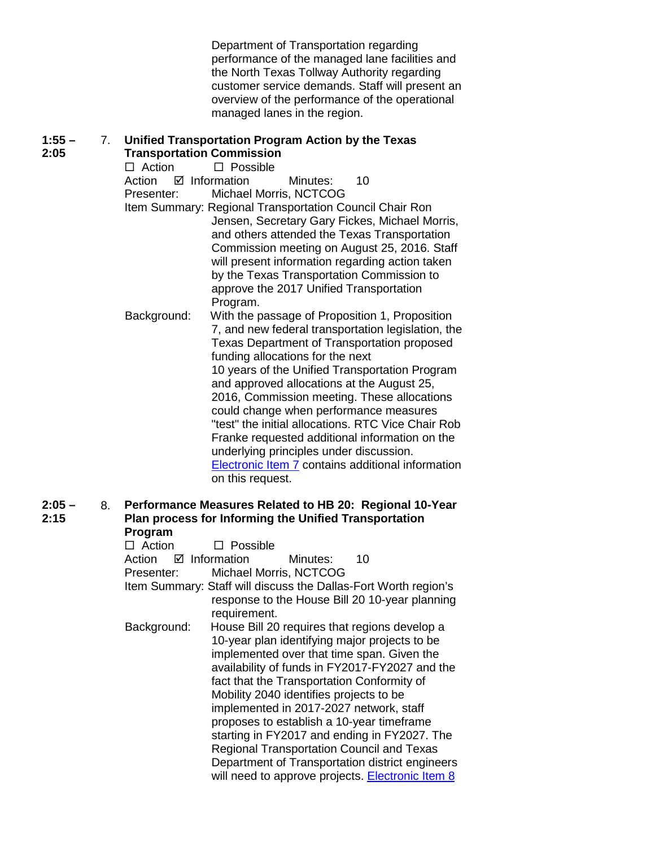Department of Transportation regarding performance of the managed lane facilities and the North Texas Tollway Authority regarding customer service demands. Staff will present an overview of the performance of the operational managed lanes in the region.

## **1:55 – 2:05** 7. **Unified Transportation Program Action by the Texas**

**Transportation Commission**<br>□ Action □ Possible  $\Box$  Possible Action **Ø** Information Minutes: 10 Presenter: Michael Morris, NCTCOG Item Summary: Regional Transportation Council Chair Ron Jensen, Secretary Gary Fickes, Michael Morris, and others attended the Texas Transportation Commission meeting on August 25, 2016. Staff will present information regarding action taken by the Texas Transportation Commission to approve the 2017 Unified Transportation Program. Background: With the passage of Proposition 1, Proposition 7, and new federal transportation legislation, the Texas Department of Transportation proposed funding allocations for the next 10 years of the Unified Transportation Program and approved allocations at the August 25, 2016, Commission meeting. These allocations could change when performance measures "test" the initial allocations. RTC Vice Chair Rob Franke requested additional information on the underlying principles under discussion. [Electronic Item 7](http://www.nctcog.org/trans/committees/rtc/2016/09Sept/Ref.Itm_7.rtc090816.pdf) contains additional information on this request.

## **2:05 – 2:15** 8. **Performance Measures Related to HB 20: Regional 10-Year Plan process for Informing the Unified Transportation Program**

| $\Box$ Action                     | $\Box$ Possible |                                         |                                                                 |
|-----------------------------------|-----------------|-----------------------------------------|-----------------------------------------------------------------|
| $\boxtimes$ Information<br>Action |                 | Minutes:                                | 10                                                              |
| Presenter:                        |                 | Michael Morris, NCTCOG                  |                                                                 |
|                                   |                 |                                         | Item Summary: Staff will discuss the Dallas-Fort Worth region's |
|                                   |                 |                                         | response to the House Bill 20 10-year planning                  |
|                                   | requirement.    |                                         |                                                                 |
| Background:                       |                 |                                         | House Bill 20 requires that regions develop a                   |
|                                   |                 |                                         | 10-year plan identifying major projects to be                   |
|                                   |                 |                                         | implemented over that time span. Given the                      |
|                                   |                 |                                         | availability of funds in FY2017-FY2027 and the                  |
|                                   |                 |                                         | fact that the Transportation Conformity of                      |
|                                   |                 | Mobility 2040 identifies projects to be |                                                                 |
|                                   |                 |                                         | implemented in 2017-2027 network, staff                         |
|                                   |                 |                                         | proposes to establish a 10-year timeframe                       |
|                                   |                 |                                         | starting in FY2017 and ending in FY2027. The                    |
|                                   |                 |                                         | <b>Regional Transportation Council and Texas</b>                |
|                                   |                 |                                         | Department of Transportation district engineers                 |
|                                   |                 |                                         | will need to approve projects. <b>Electronic Item 8</b>         |